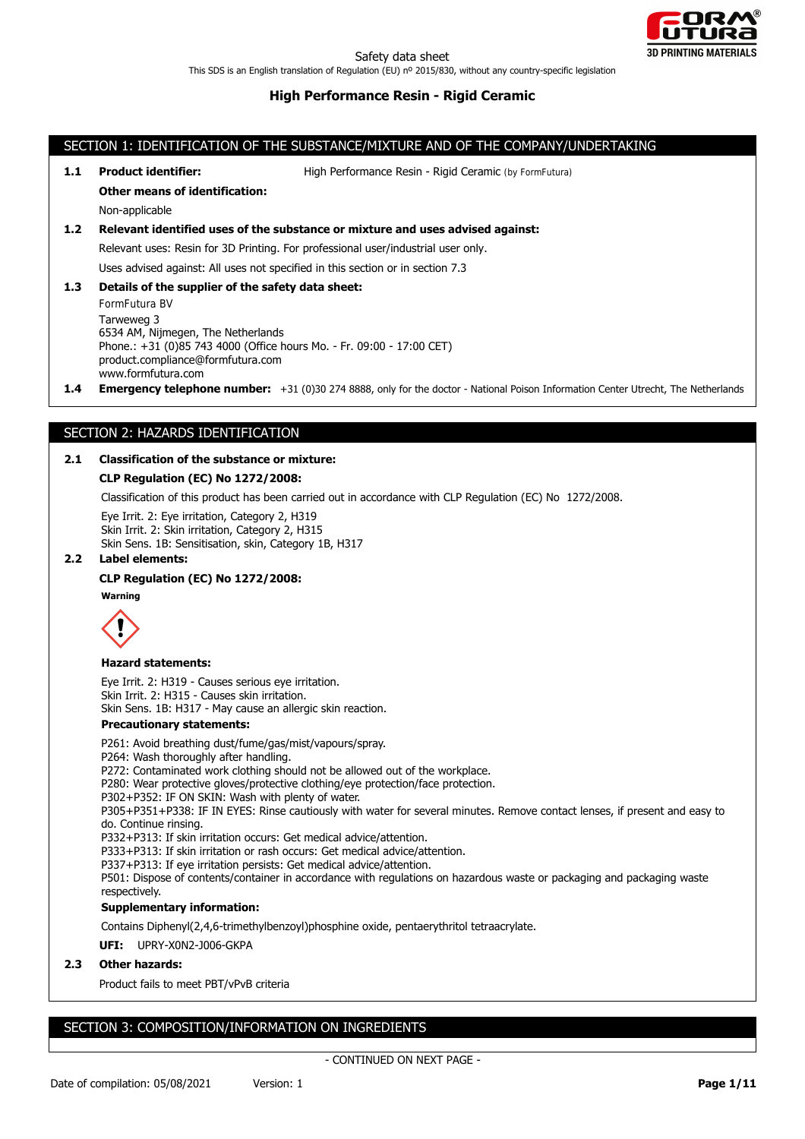

## SECTION 1: IDENTIFICATION OF THE SUBSTANCE/MIXTURE AND OF THE COMPANY/UNDERTAKING

**1.1 Product identifier:** High Performance Resin - Rigid Ceramic (by FormFutura)

#### **Other means of identification:**

Non-applicable

## **1.2 Relevant identified uses of the substance or mixture and uses advised against:**

Relevant uses: Resin for 3D Printing. For professional user/industrial user only.

Uses advised against: All uses not specified in this section or in section 7.3

**1.3 Details of the supplier of the safety data sheet:**

FormFutura BV Tarweweg 3 6534 AM, Nijmegen, The Netherlands Phone.: +31 (0)85 743 4000 (Office hours Mo. - Fr. 09:00 - 17:00 CET) product.compliance@formfutura.com www.formfutura.com

**1.4 Emergency telephone number:** +31 (0)30 274 8888, only for the doctor - National Poison Information Center Utrecht, The Netherlands

## SECTION 2: HAZARDS IDENTIFICATION

## **2.1 Classification of the substance or mixture:**

## **CLP Regulation (EC) No 1272/2008:**

Classification of this product has been carried out in accordance with CLP Regulation (EC) No 1272/2008.

Eye Irrit. 2: Eye irritation, Category 2, H319 Skin Irrit. 2: Skin irritation, Category 2, H315 Skin Sens. 1B: Sensitisation, skin, Category 1B, H317

### **2.2 Label elements:**

## **CLP Regulation (EC) No 1272/2008:**

**Warning**



#### **Hazard statements:**

Eye Irrit. 2: H319 - Causes serious eye irritation. Skin Irrit. 2: H315 - Causes skin irritation. Skin Sens. 1B: H317 - May cause an allergic skin reaction.

#### **Precautionary statements:**

P261: Avoid breathing dust/fume/gas/mist/vapours/spray. P264: Wash thoroughly after handling. P272: Contaminated work clothing should not be allowed out of the workplace. P280: Wear protective gloves/protective clothing/eye protection/face protection. P302+P352: IF ON SKIN: Wash with plenty of water. P305+P351+P338: IF IN EYES: Rinse cautiously with water for several minutes. Remove contact lenses, if present and easy to do. Continue rinsing. P332+P313: If skin irritation occurs: Get medical advice/attention. P333+P313: If skin irritation or rash occurs: Get medical advice/attention. P337+P313: If eye irritation persists: Get medical advice/attention. P501: Dispose of contents/container in accordance with regulations on hazardous waste or packaging and packaging waste respectively. **Supplementary information:**

Contains Diphenyl(2,4,6-trimethylbenzoyl)phosphine oxide, pentaerythritol tetraacrylate.

**UFI:** UPRY-X0N2-J006-GKPA

#### **2.3 Other hazards:**

Product fails to meet PBT/vPvB criteria

# SECTION 3: COMPOSITION/INFORMATION ON INGREDIENTS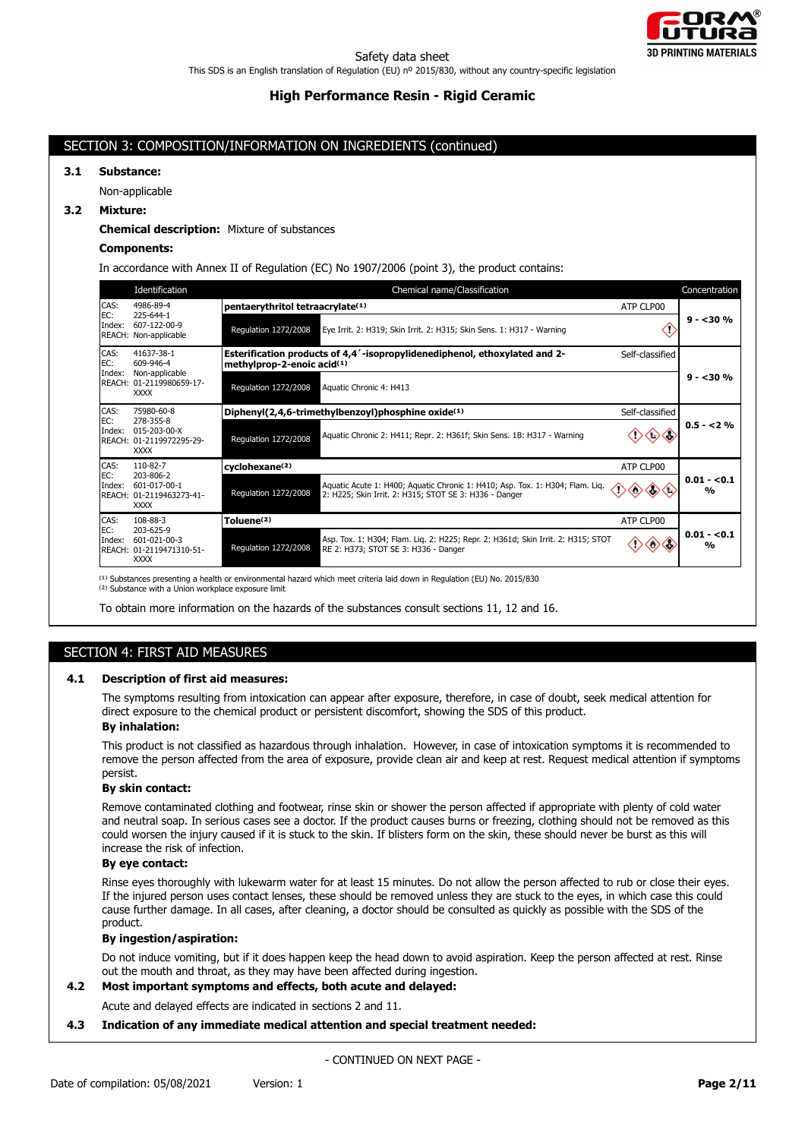

## SECTION 3: COMPOSITION/INFORMATION ON INGREDIENTS (continued)

# **3.1 Substance:**

Non-applicable

## **3.2 Mixture:**

#### **Chemical description:** Mixture of substances

## **Components:**

In accordance with Annex II of Regulation (EC) No 1907/2006 (point 3), the product contains:

|                                                                       | Identification                                                       | Chemical name/Classification                                                                                                                                    | Concentration                 |
|-----------------------------------------------------------------------|----------------------------------------------------------------------|-----------------------------------------------------------------------------------------------------------------------------------------------------------------|-------------------------------|
| CAS:<br>EC:                                                           | 4986-89-4<br>225-644-1                                               | pentaerythritol tetraacrylate <sup>(1)</sup><br>ATP CLP00                                                                                                       |                               |
| Index:                                                                | 607-122-00-9<br>REACH: Non-applicable                                | Regulation 1272/2008<br>Eye Irrit. 2: H319; Skin Irrit. 2: H315; Skin Sens. 1: H317 - Warning                                                                   | $9 - 30%$                     |
| CAS:<br>EC:<br>Index:                                                 | 41637-38-1<br>609-946-4<br>Non-applicable                            | Esterification products of 4,4'-isopropylidenediphenol, ethoxylated and 2-<br>Self-classified<br>methylprop-2-enoic acid(1)                                     |                               |
|                                                                       | REACH: 01-2119980659-17-<br><b>XXXX</b>                              | Regulation 1272/2008<br>Aquatic Chronic 4: H413                                                                                                                 | $9 - 30%$                     |
| CAS:                                                                  | 75980-60-8                                                           | Diphenyl(2,4,6-trimethylbenzoyl)phosphine oxide <sup>(1)</sup><br>Self-classified                                                                               |                               |
| EC:<br>278-355-8<br>Index:<br>REACH: 01-2119972295-29-<br><b>XXXX</b> | $015 - 203 - 00 - X$                                                 | Aquatic Chronic 2: H411; Repr. 2: H361f; Skin Sens. 1B: H317 - Warning<br>Regulation 1272/2008                                                                  | $0.5 - 2%$                    |
| CAS:                                                                  | 110-82-7                                                             | cyclohexane <sup>(2)</sup><br>ATP CLP00                                                                                                                         |                               |
| EC:<br>Index:                                                         | 203-806-2<br>601-017-00-1<br>REACH: 01-2119463273-41-<br><b>XXXX</b> | Aquatic Acute 1: H400; Aquatic Chronic 1: H410; Asp. Tox. 1: H304; Flam. Liq.<br>Regulation 1272/2008<br>2: H225; Skin Irrit. 2: H315; STOT SE 3: H336 - Danger | $0.01 - 0.1$<br>$\frac{0}{0}$ |
| CAS:                                                                  | 108-88-3                                                             | Toluene <sup>(2)</sup><br>ATP CLP00                                                                                                                             |                               |
| EC:<br>Index:                                                         | 203-625-9<br>601-021-00-3<br>REACH: 01-2119471310-51-<br><b>XXXX</b> | Asp. Tox. 1: H304; Flam. Lig. 2: H225; Repr. 2: H361d; Skin Irrit. 2: H315; STOT<br>Regulation 1272/2008<br>RE 2: H373; STOT SE 3: H336 - Danger                | $0.01 - 0.1$<br>$\frac{0}{0}$ |

<sup>(1)</sup> Substances presenting a health or environmental hazard which meet criteria laid down in Regulation (EU) No. 2015/830

<sup>(2)</sup> Substance with a Union workplace exposure limit

To obtain more information on the hazards of the substances consult sections 11, 12 and 16.

# SECTION 4: FIRST AID MEASURES

#### **4.1 Description of first aid measures:**

The symptoms resulting from intoxication can appear after exposure, therefore, in case of doubt, seek medical attention for direct exposure to the chemical product or persistent discomfort, showing the SDS of this product.

#### **By inhalation:**

This product is not classified as hazardous through inhalation. However, in case of intoxication symptoms it is recommended to remove the person affected from the area of exposure, provide clean air and keep at rest. Request medical attention if symptoms persist.

#### **By skin contact:**

Remove contaminated clothing and footwear, rinse skin or shower the person affected if appropriate with plenty of cold water and neutral soap. In serious cases see a doctor. If the product causes burns or freezing, clothing should not be removed as this could worsen the injury caused if it is stuck to the skin. If blisters form on the skin, these should never be burst as this will increase the risk of infection.

## **By eye contact:**

Rinse eyes thoroughly with lukewarm water for at least 15 minutes. Do not allow the person affected to rub or close their eyes. If the injured person uses contact lenses, these should be removed unless they are stuck to the eyes, in which case this could cause further damage. In all cases, after cleaning, a doctor should be consulted as quickly as possible with the SDS of the product.

#### **By ingestion/aspiration:**

Do not induce vomiting, but if it does happen keep the head down to avoid aspiration. Keep the person affected at rest. Rinse out the mouth and throat, as they may have been affected during ingestion.

## **4.2 Most important symptoms and effects, both acute and delayed:**

Acute and delayed effects are indicated in sections 2 and 11.

## **4.3 Indication of any immediate medical attention and special treatment needed:**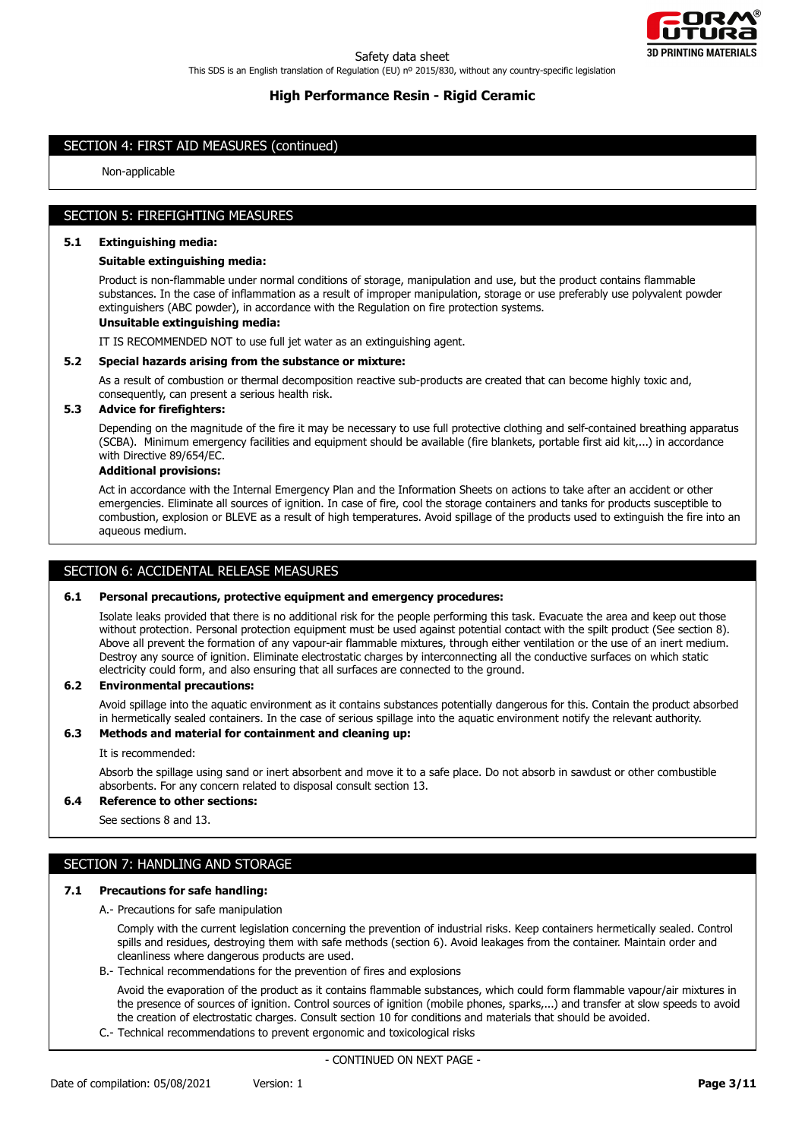

# SECTION 4: FIRST AID MEASURES (continued)

Non-applicable

# SECTION 5: FIREFIGHTING MEASURES

#### **5.1 Extinguishing media:**

### **Suitable extinguishing media:**

Product is non-flammable under normal conditions of storage, manipulation and use, but the product contains flammable substances. In the case of inflammation as a result of improper manipulation, storage or use preferably use polyvalent powder extinguishers (ABC powder), in accordance with the Regulation on fire protection systems.

## **Unsuitable extinguishing media:**

IT IS RECOMMENDED NOT to use full jet water as an extinguishing agent.

### **5.2 Special hazards arising from the substance or mixture:**

As a result of combustion or thermal decomposition reactive sub-products are created that can become highly toxic and, consequently, can present a serious health risk.

## **5.3 Advice for firefighters:**

Depending on the magnitude of the fire it may be necessary to use full protective clothing and self-contained breathing apparatus (SCBA). Minimum emergency facilities and equipment should be available (fire blankets, portable first aid kit,...) in accordance with Directive 89/654/EC.

#### **Additional provisions:**

Act in accordance with the Internal Emergency Plan and the Information Sheets on actions to take after an accident or other emergencies. Eliminate all sources of ignition. In case of fire, cool the storage containers and tanks for products susceptible to combustion, explosion or BLEVE as a result of high temperatures. Avoid spillage of the products used to extinguish the fire into an aqueous medium.

## SECTION 6: ACCIDENTAL RELEASE MEASURES

#### **6.1 Personal precautions, protective equipment and emergency procedures:**

Isolate leaks provided that there is no additional risk for the people performing this task. Evacuate the area and keep out those without protection. Personal protection equipment must be used against potential contact with the spilt product (See section 8). Above all prevent the formation of any vapour-air flammable mixtures, through either ventilation or the use of an inert medium. Destroy any source of ignition. Eliminate electrostatic charges by interconnecting all the conductive surfaces on which static electricity could form, and also ensuring that all surfaces are connected to the ground.

### **6.2 Environmental precautions:**

Avoid spillage into the aquatic environment as it contains substances potentially dangerous for this. Contain the product absorbed in hermetically sealed containers. In the case of serious spillage into the aquatic environment notify the relevant authority.

# **6.3 Methods and material for containment and cleaning up:**

#### It is recommended:

Absorb the spillage using sand or inert absorbent and move it to a safe place. Do not absorb in sawdust or other combustible absorbents. For any concern related to disposal consult section 13.

#### **6.4 Reference to other sections:**

See sections 8 and 13.

# SECTION 7: HANDLING AND STORAGE

#### **7.1 Precautions for safe handling:**

A.- Precautions for safe manipulation

Comply with the current legislation concerning the prevention of industrial risks. Keep containers hermetically sealed. Control spills and residues, destroying them with safe methods (section 6). Avoid leakages from the container. Maintain order and cleanliness where dangerous products are used.

B.- Technical recommendations for the prevention of fires and explosions

Avoid the evaporation of the product as it contains flammable substances, which could form flammable vapour/air mixtures in the presence of sources of ignition. Control sources of ignition (mobile phones, sparks,...) and transfer at slow speeds to avoid the creation of electrostatic charges. Consult section 10 for conditions and materials that should be avoided.

C.- Technical recommendations to prevent ergonomic and toxicological risks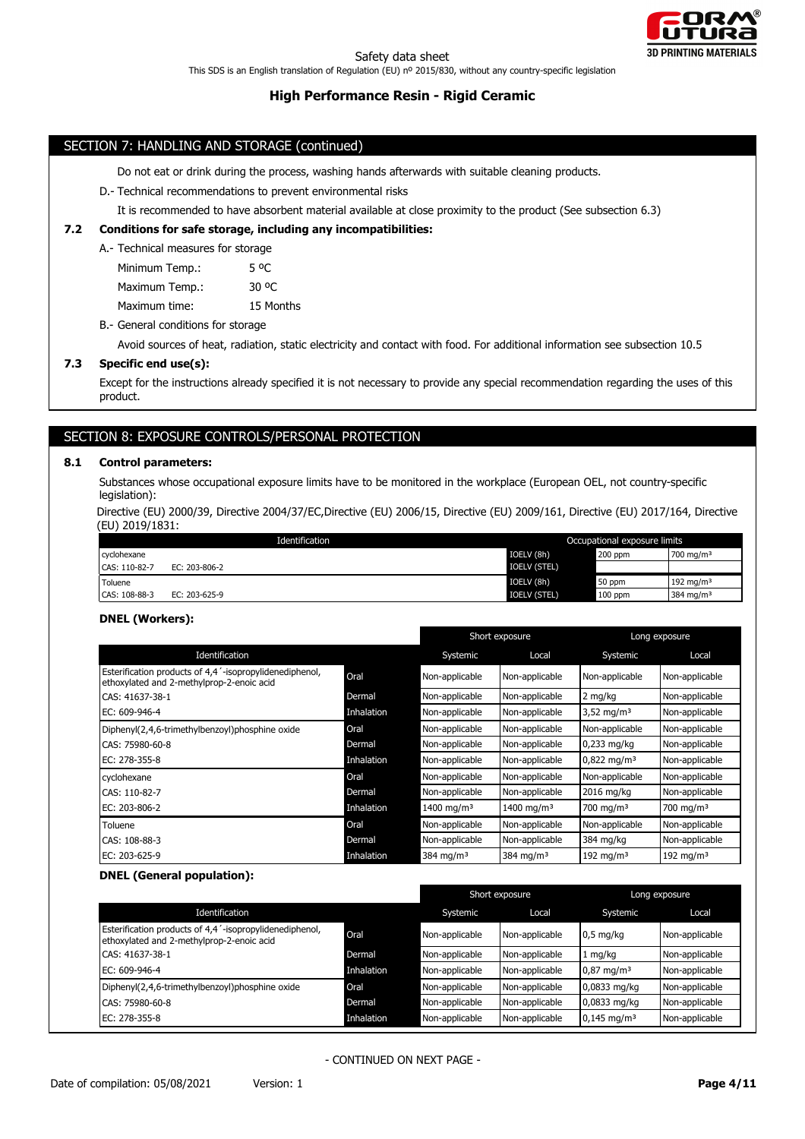

## SECTION 7: HANDLING AND STORAGE (continued)

Do not eat or drink during the process, washing hands afterwards with suitable cleaning products.

#### D.- Technical recommendations to prevent environmental risks

It is recommended to have absorbent material available at close proximity to the product (See subsection 6.3)

## **7.2 Conditions for safe storage, including any incompatibilities:**

A.- Technical measures for storage

Minimum Temp.: 5 °C

Maximum Temp.: 30 °C

Maximum time: 15 Months

B.- General conditions for storage

Avoid sources of heat, radiation, static electricity and contact with food. For additional information see subsection 10.5

## **7.3 Specific end use(s):**

Except for the instructions already specified it is not necessary to provide any special recommendation regarding the uses of this product.

# SECTION 8: EXPOSURE CONTROLS/PERSONAL PROTECTION

### **8.1 Control parameters:**

Substances whose occupational exposure limits have to be monitored in the workplace (European OEL, not country-specific legislation):

Directive (EU) 2000/39, Directive 2004/37/EC,Directive (EU) 2006/15, Directive (EU) 2009/161, Directive (EU) 2017/164, Directive (EU) 2019/1831:

| Identification |               | Occupational exposure limits |           |                       |
|----------------|---------------|------------------------------|-----------|-----------------------|
| cyclohexane    |               | IOELV (8h)                   | 200 ppm   | 700 mg/m <sup>3</sup> |
| CAS: 110-82-7  | EC: 203-806-2 | <b>IOELV (STEL)</b>          |           |                       |
| Toluene        |               | IOELV (8h)                   | 50 ppm    | 192 mg/m $3$          |
| CAS: 108-88-3  | EC: 203-625-9 | <b>IOELV (STEL)</b>          | $100$ ppm | 384 mg/m <sup>3</sup> |

## **DNEL (Workers):**

|                                                                                                      |            |                        | Short exposure         |                        | Long exposure  |
|------------------------------------------------------------------------------------------------------|------------|------------------------|------------------------|------------------------|----------------|
| Identification                                                                                       |            | Systemic               | Local                  | Systemic               | Local          |
| Esterification products of 4,4'-isopropylidenediphenol,<br>ethoxylated and 2-methylprop-2-enoic acid | Oral       | Non-applicable         | Non-applicable         | Non-applicable         | Non-applicable |
| CAS: 41637-38-1                                                                                      | Dermal     | Non-applicable         | Non-applicable         | 2 mg/kg                | Non-applicable |
| EC: 609-946-4                                                                                        | Inhalation | Non-applicable         | Non-applicable         | $3,52 \text{ mg/m}^3$  | Non-applicable |
| Diphenyl(2,4,6-trimethylbenzoyl)phosphine oxide                                                      | Oral       | Non-applicable         | Non-applicable         | Non-applicable         | Non-applicable |
| CAS: 75980-60-8                                                                                      | Dermal     | Non-applicable         | Non-applicable         | $0,233$ mg/kg          | Non-applicable |
| EC: 278-355-8                                                                                        | Inhalation | Non-applicable         | Non-applicable         | $0,822 \text{ mg/m}^3$ | Non-applicable |
| cyclohexane                                                                                          | Oral       | Non-applicable         | Non-applicable         | Non-applicable         | Non-applicable |
| CAS: 110-82-7                                                                                        | Dermal     | Non-applicable         | Non-applicable         | 2016 mg/kg             | Non-applicable |
| EC: 203-806-2                                                                                        | Inhalation | 1400 mg/m <sup>3</sup> | 1400 mg/m <sup>3</sup> | 700 mg/m $3$           | 700 mg/m $3$   |
| Toluene                                                                                              | Oral       | Non-applicable         | Non-applicable         | Non-applicable         | Non-applicable |
| CAS: 108-88-3                                                                                        | Dermal     | Non-applicable         | Non-applicable         | 384 mg/kg              | Non-applicable |
| EC: 203-625-9                                                                                        | Inhalation | 384 mg/m $3$           | 384 mg/m <sup>3</sup>  | 192 mg/m $3$           | 192 mg/m $3$   |

### **DNEL (General population):**

|                                                                                                                   |            |                | Short exposure |                        | Long exposure  |
|-------------------------------------------------------------------------------------------------------------------|------------|----------------|----------------|------------------------|----------------|
| Identification                                                                                                    |            | Systemic       | Local          | Systemic               | Local          |
| Esterification products of 4,4 <sup>'</sup> -isopropylidenediphenol,<br>ethoxylated and 2-methylprop-2-enoic acid | Oral       | Non-applicable | Non-applicable | $0.5$ mg/kg            | Non-applicable |
| CAS: 41637-38-1                                                                                                   | Dermal     | Non-applicable | Non-applicable | 1 mg/kg                | Non-applicable |
| EC: 609-946-4                                                                                                     | Inhalation | Non-applicable | Non-applicable | $0.87 \text{ mg/m}^3$  | Non-applicable |
| Diphenyl(2,4,6-trimethylbenzoyl)phosphine oxide                                                                   | Oral       | Non-applicable | Non-applicable | 0,0833 mg/kg           | Non-applicable |
| CAS: 75980-60-8                                                                                                   | Dermal     | Non-applicable | Non-applicable | 0,0833 mg/kg           | Non-applicable |
| EC: 278-355-8                                                                                                     | Inhalation | Non-applicable | Non-applicable | $0,145 \text{ mg/m}^3$ | Non-applicable |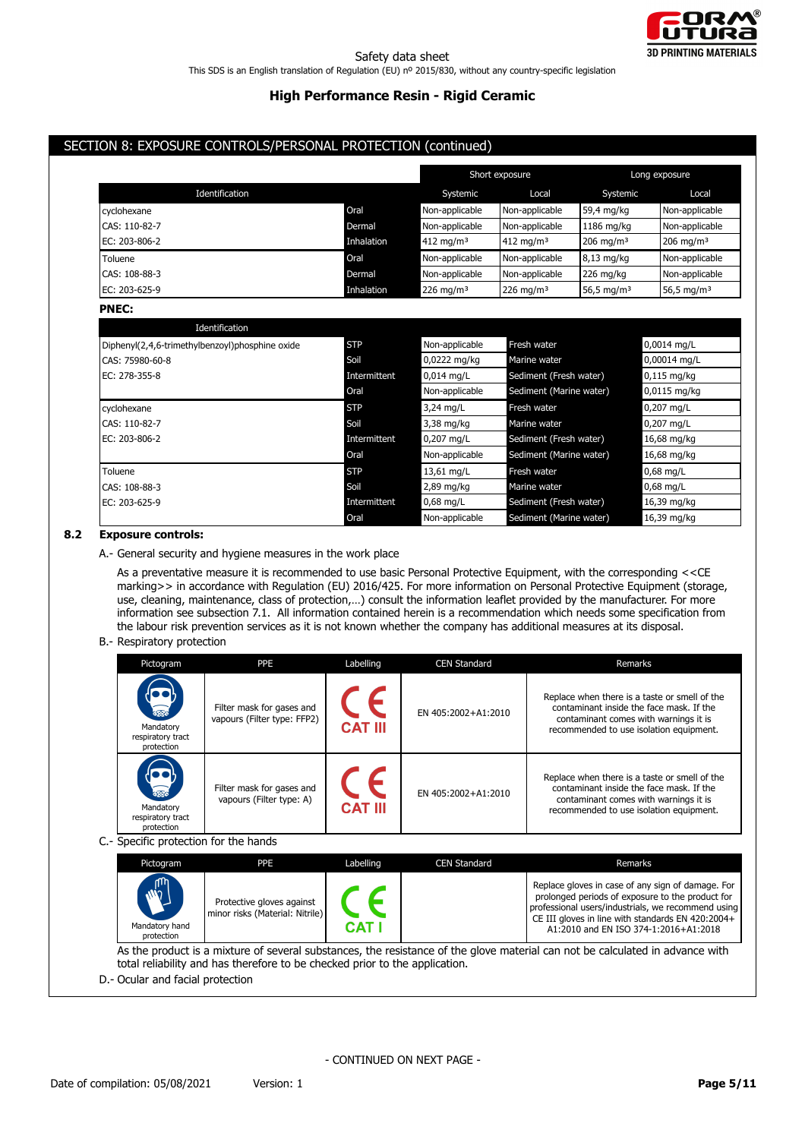

# SECTION 8: EXPOSURE CONTROLS/PERSONAL PROTECTION (continued)

|                |            |                         | Short exposure        |                         | Long exposure          |
|----------------|------------|-------------------------|-----------------------|-------------------------|------------------------|
| Identification |            | Systemic                | Local                 | Systemic                | Local                  |
| cyclohexane    | Oral       | Non-applicable          | Non-applicable        | 59,4 mg/kg              | Non-applicable         |
| CAS: 110-82-7  | Dermal     | Non-applicable          | Non-applicable        | 1186 mg/kg              | Non-applicable         |
| EC: 203-806-2  | Inhalation | $412 \,\mathrm{mg/m^3}$ | 412 mg/m <sup>3</sup> | $206$ mg/m <sup>3</sup> | 206 mg/m $3$           |
| Toluene        | Oral       | Non-applicable          | Non-applicable        | $8,13$ mg/kg            | Non-applicable         |
| CAS: 108-88-3  | Dermal     | Non-applicable          | Non-applicable        | 226 mg/kg               | Non-applicable         |
| EC: 203-625-9  | Inhalation | 226 mg/m $3$            | 226 mg/m <sup>3</sup> | 56,5 mg/m <sup>3</sup>  | 56,5 mg/m <sup>3</sup> |

## **PNEC:**

| Identification                                  |              |                |                         |                |
|-------------------------------------------------|--------------|----------------|-------------------------|----------------|
| Diphenyl(2,4,6-trimethylbenzoyl)phosphine oxide | <b>STP</b>   | Non-applicable | Fresh water             | 0,0014 mg/L    |
| CAS: 75980-60-8                                 | Soil         | 0,0222 mg/kg   | Marine water            | $0,00014$ mg/L |
| EC: 278-355-8                                   | Intermittent | $0,014$ mg/L   | Sediment (Fresh water)  | $0,115$ mg/kg  |
|                                                 | Oral         | Non-applicable | Sediment (Marine water) | 0,0115 mg/kg   |
| cyclohexane                                     | <b>STP</b>   | 3,24 mg/L      | Fresh water             | 0,207 mg/L     |
| CAS: 110-82-7                                   | Soil         | 3,38 mg/kg     | Marine water            | 0,207 mg/L     |
| EC: 203-806-2                                   | Intermittent | 0,207 mg/L     | Sediment (Fresh water)  | 16,68 mg/kg    |
|                                                 | Oral         | Non-applicable | Sediment (Marine water) | 16,68 mg/kg    |
| Toluene                                         | <b>STP</b>   | 13,61 mg/L     | Fresh water             | $0.68$ mg/L    |
| CAS: 108-88-3                                   | Soil         | 2,89 mg/kg     | Marine water            | $0.68$ mg/L    |
| EC: 203-625-9                                   | Intermittent | $0.68$ mg/L    | Sediment (Fresh water)  | 16,39 mg/kg    |
|                                                 | Oral         | Non-applicable | Sediment (Marine water) | 16,39 mg/kg    |

## **8.2 Exposure controls:**

A.- General security and hygiene measures in the work place

As a preventative measure it is recommended to use basic Personal Protective Equipment, with the corresponding <<CE marking>> in accordance with Regulation (EU) 2016/425. For more information on Personal Protective Equipment (storage, use, cleaning, maintenance, class of protection,…) consult the information leaflet provided by the manufacturer. For more information see subsection 7.1. All information contained herein is a recommendation which needs some specification from the labour risk prevention services as it is not known whether the company has additional measures at its disposal.

## B.- Respiratory protection

| Pictogram                                                                                                                                                                                                    | PPE                                                          | Labelling           | <b>CEN Standard</b> | Remarks                                                                                                                                                                                                                                                   |  |  |
|--------------------------------------------------------------------------------------------------------------------------------------------------------------------------------------------------------------|--------------------------------------------------------------|---------------------|---------------------|-----------------------------------------------------------------------------------------------------------------------------------------------------------------------------------------------------------------------------------------------------------|--|--|
| Mandatory<br>respiratory tract<br>protection                                                                                                                                                                 | Filter mask for gases and<br>vapours (Filter type: FFP2)     | <b>CAT III</b>      | EN 405:2002+A1:2010 | Replace when there is a taste or smell of the<br>contaminant inside the face mask. If the<br>contaminant comes with warnings it is<br>recommended to use isolation equipment.                                                                             |  |  |
| Mandatory<br>respiratory tract<br>protection                                                                                                                                                                 | Filter mask for gases and<br>vapours (Filter type: A)        | <b>CAT III</b>      | EN 405:2002+A1:2010 | Replace when there is a taste or smell of the<br>contaminant inside the face mask. If the<br>contaminant comes with warnings it is<br>recommended to use isolation equipment.                                                                             |  |  |
| C.- Specific protection for the hands                                                                                                                                                                        |                                                              |                     |                     |                                                                                                                                                                                                                                                           |  |  |
| Pictogram                                                                                                                                                                                                    | <b>PPE</b>                                                   | Labelling           | <b>CEN Standard</b> | Remarks                                                                                                                                                                                                                                                   |  |  |
| Mandatory hand<br>protection                                                                                                                                                                                 | Protective gloves against<br>minor risks (Material: Nitrile) | L F<br><b>CAT I</b> |                     | Replace gloves in case of any sign of damage. For<br>prolonged periods of exposure to the product for<br>professional users/industrials, we recommend using<br>CE III gloves in line with standards EN 420:2004+<br>A1:2010 and EN ISO 374-1:2016+A1:2018 |  |  |
| As the product is a mixture of several substances, the resistance of the glove material can not be calculated in advance with<br>total reliability and has therefore to be checked prior to the application. |                                                              |                     |                     |                                                                                                                                                                                                                                                           |  |  |

D.- Ocular and facial protection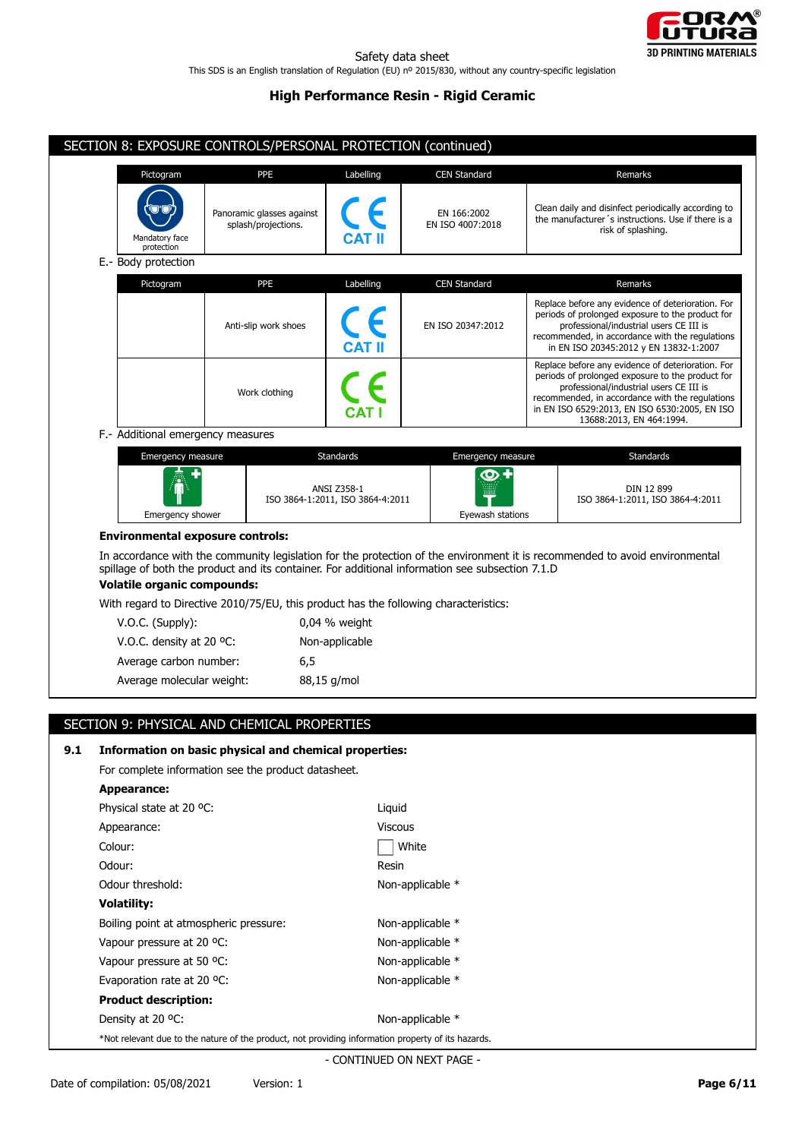

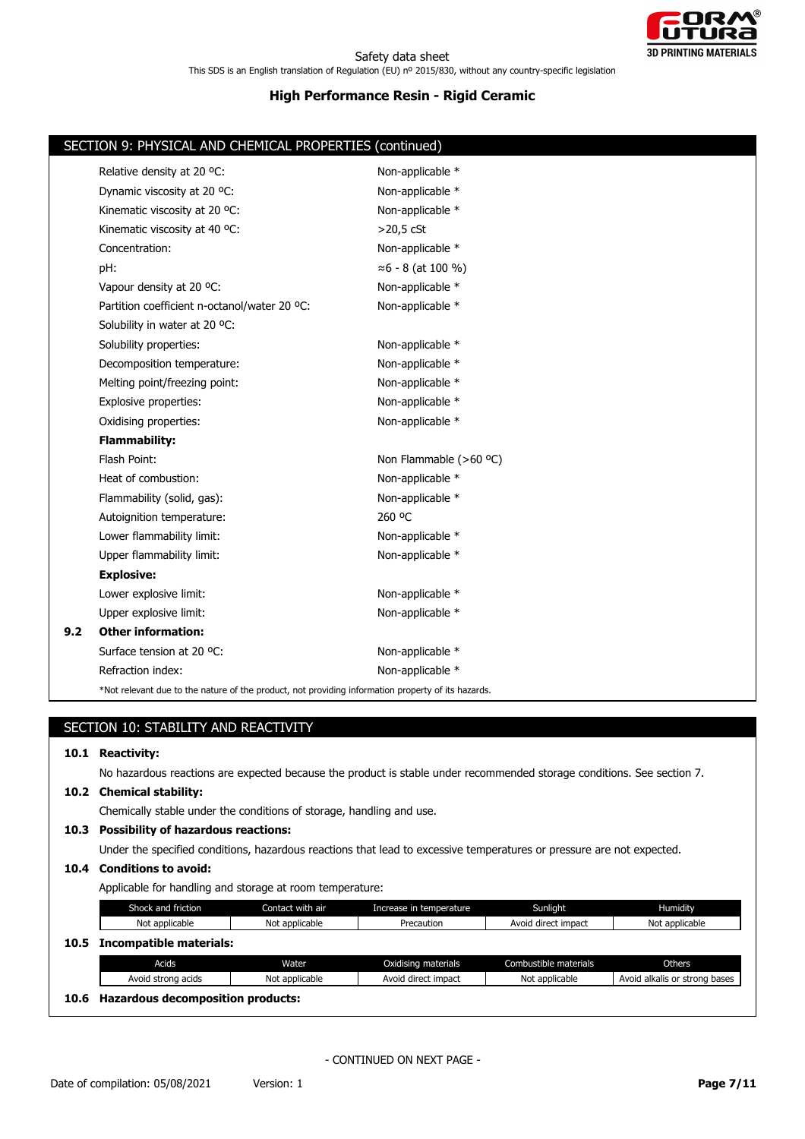

|     | SECTION 9: PHYSICAL AND CHEMICAL PROPERTIES (continued)                                            |                            |  |  |  |  |
|-----|----------------------------------------------------------------------------------------------------|----------------------------|--|--|--|--|
|     | Relative density at 20 °C:                                                                         | Non-applicable *           |  |  |  |  |
|     | Dynamic viscosity at 20 °C:                                                                        | Non-applicable *           |  |  |  |  |
|     | Kinematic viscosity at 20 °C:                                                                      | Non-applicable *           |  |  |  |  |
|     | Kinematic viscosity at 40 °C:                                                                      | $>20,5$ cSt                |  |  |  |  |
|     | Concentration:                                                                                     | Non-applicable *           |  |  |  |  |
|     | pH:                                                                                                | $\approx$ 6 - 8 (at 100 %) |  |  |  |  |
|     | Vapour density at 20 °C:                                                                           | Non-applicable *           |  |  |  |  |
|     | Partition coefficient n-octanol/water 20 °C:                                                       | Non-applicable *           |  |  |  |  |
|     | Solubility in water at 20 °C:                                                                      |                            |  |  |  |  |
|     | Solubility properties:                                                                             | Non-applicable *           |  |  |  |  |
|     | Decomposition temperature:                                                                         | Non-applicable *           |  |  |  |  |
|     | Melting point/freezing point:                                                                      | Non-applicable *           |  |  |  |  |
|     | Explosive properties:                                                                              | Non-applicable *           |  |  |  |  |
|     | Oxidising properties:                                                                              | Non-applicable *           |  |  |  |  |
|     | <b>Flammability:</b>                                                                               |                            |  |  |  |  |
|     | Flash Point:                                                                                       | Non Flammable (>60 °C)     |  |  |  |  |
|     | Heat of combustion:                                                                                | Non-applicable *           |  |  |  |  |
|     | Flammability (solid, gas):                                                                         | Non-applicable *           |  |  |  |  |
|     | Autoignition temperature:                                                                          | 260 °C                     |  |  |  |  |
|     | Lower flammability limit:                                                                          | Non-applicable *           |  |  |  |  |
|     | Upper flammability limit:                                                                          | Non-applicable *           |  |  |  |  |
|     | <b>Explosive:</b>                                                                                  |                            |  |  |  |  |
|     | Lower explosive limit:                                                                             | Non-applicable *           |  |  |  |  |
|     | Upper explosive limit:                                                                             | Non-applicable *           |  |  |  |  |
| 9.2 | <b>Other information:</b>                                                                          |                            |  |  |  |  |
|     | Surface tension at 20 °C:                                                                          | Non-applicable *           |  |  |  |  |
|     | Refraction index:                                                                                  | Non-applicable *           |  |  |  |  |
|     | *Not relevant due to the nature of the product, not providing information property of its hazards. |                            |  |  |  |  |

# SECTION 10: STABILITY AND REACTIVITY

## **10.1 Reactivity:**

No hazardous reactions are expected because the product is stable under recommended storage conditions. See section 7.

## **10.2 Chemical stability:**

Chemically stable under the conditions of storage, handling and use.

## **10.3 Possibility of hazardous reactions:**

Under the specified conditions, hazardous reactions that lead to excessive temperatures or pressure are not expected.

# **10.4 Conditions to avoid:**

Applicable for handling and storage at room temperature:

|      | Shock and friction      | Contact with air | Increase in temperature | Sunlight              | Humidity                      |
|------|-------------------------|------------------|-------------------------|-----------------------|-------------------------------|
|      | Not applicable          | Not applicable   | Precaution              | Avoid direct impact   | Not applicable                |
| 10.5 | Incompatible materials: |                  |                         |                       |                               |
|      |                         |                  |                         |                       |                               |
|      | Acids                   | Water            | Oxidising materials     | Combustible materials | Others                        |
|      | Avoid strong acids      | Not applicable   | Avoid direct impact     | Not applicable        | Avoid alkalis or strong bases |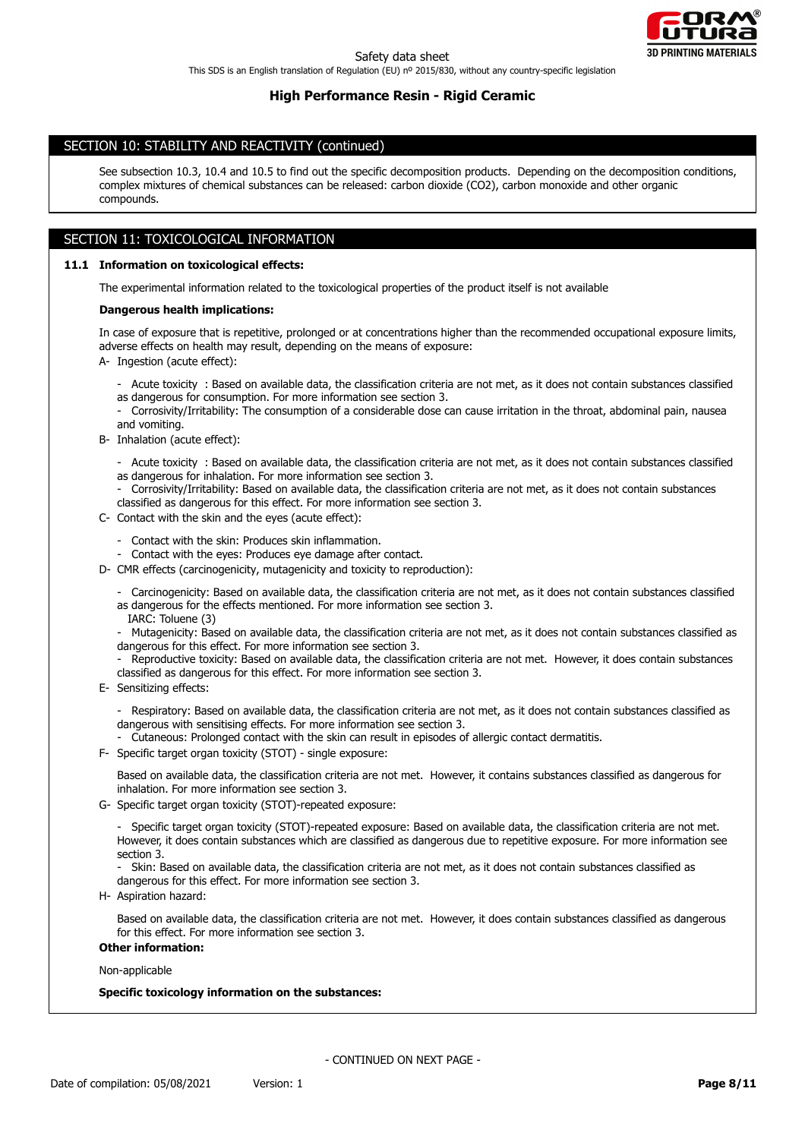

## SECTION 10: STABILITY AND REACTIVITY (continued)

See subsection 10.3, 10.4 and 10.5 to find out the specific decomposition products. Depending on the decomposition conditions, complex mixtures of chemical substances can be released: carbon dioxide (CO2), carbon monoxide and other organic compounds.

# SECTION 11: TOXICOLOGICAL INFORMATION

## **11.1 Information on toxicological effects:**

The experimental information related to the toxicological properties of the product itself is not available

#### **Dangerous health implications:**

In case of exposure that is repetitive, prolonged or at concentrations higher than the recommended occupational exposure limits, adverse effects on health may result, depending on the means of exposure:

A- Ingestion (acute effect):

- Acute toxicity : Based on available data, the classification criteria are not met, as it does not contain substances classified as dangerous for consumption. For more information see section 3.
- Corrosivity/Irritability: The consumption of a considerable dose can cause irritation in the throat, abdominal pain, nausea and vomiting.
- B- Inhalation (acute effect):
	- Acute toxicity : Based on available data, the classification criteria are not met, as it does not contain substances classified as dangerous for inhalation. For more information see section 3.
	- Corrosivity/Irritability: Based on available data, the classification criteria are not met, as it does not contain substances classified as dangerous for this effect. For more information see section 3.
- C- Contact with the skin and the eyes (acute effect):
	- Contact with the skin: Produces skin inflammation.
	- Contact with the eyes: Produces eye damage after contact.
- D- CMR effects (carcinogenicity, mutagenicity and toxicity to reproduction):
	- Carcinogenicity: Based on available data, the classification criteria are not met, as it does not contain substances classified as dangerous for the effects mentioned. For more information see section 3.
	- IARC: Toluene (3)
	- Mutagenicity: Based on available data, the classification criteria are not met, as it does not contain substances classified as dangerous for this effect. For more information see section 3.
	- Reproductive toxicity: Based on available data, the classification criteria are not met. However, it does contain substances classified as dangerous for this effect. For more information see section 3.
- E- Sensitizing effects:
	- Respiratory: Based on available data, the classification criteria are not met, as it does not contain substances classified as dangerous with sensitising effects. For more information see section 3.
	- Cutaneous: Prolonged contact with the skin can result in episodes of allergic contact dermatitis.
- F- Specific target organ toxicity (STOT) single exposure:

Based on available data, the classification criteria are not met. However, it contains substances classified as dangerous for inhalation. For more information see section 3.

G- Specific target organ toxicity (STOT)-repeated exposure:

- Specific target organ toxicity (STOT)-repeated exposure: Based on available data, the classification criteria are not met. However, it does contain substances which are classified as dangerous due to repetitive exposure. For more information see section 3.

- Skin: Based on available data, the classification criteria are not met, as it does not contain substances classified as
- dangerous for this effect. For more information see section 3.
- H- Aspiration hazard:

Based on available data, the classification criteria are not met. However, it does contain substances classified as dangerous for this effect. For more information see section 3.

**Other information:**

Non-applicable

#### **Specific toxicology information on the substances:**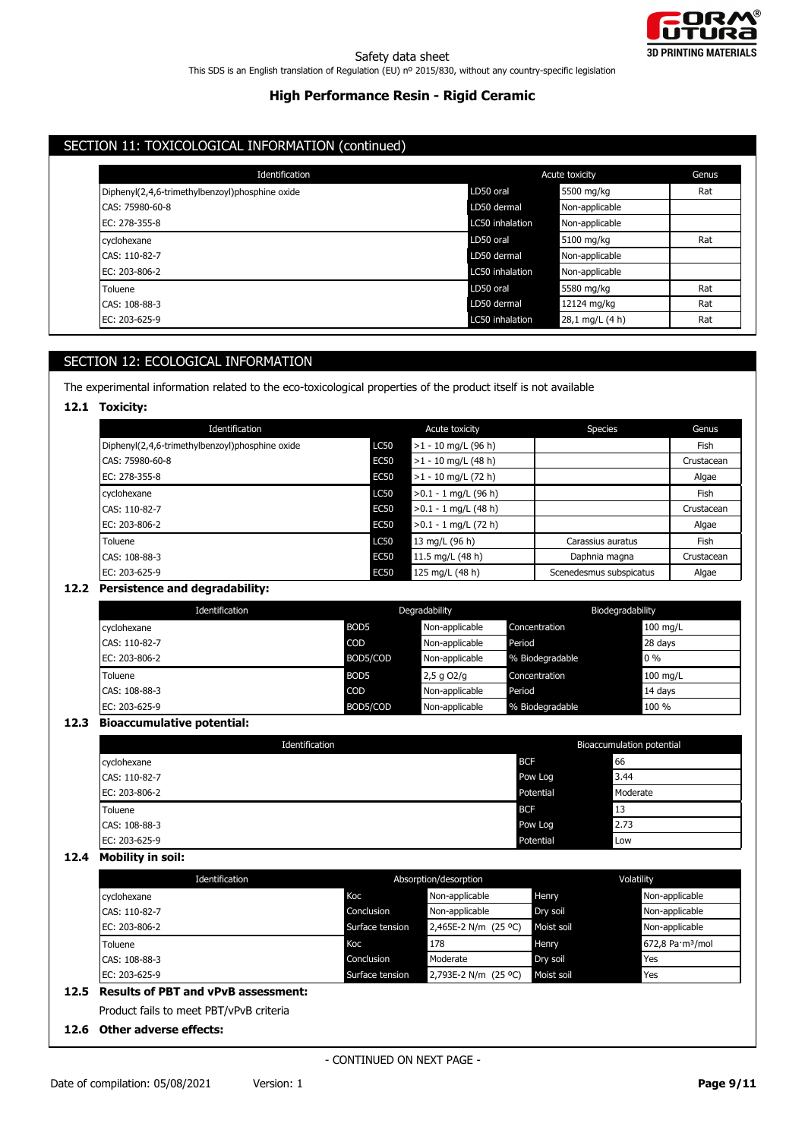

# SECTION 11: TOXICOLOGICAL INFORMATION (continued)

| Identification                                  |                 | Acute toxicity  |     |  |
|-------------------------------------------------|-----------------|-----------------|-----|--|
| Diphenyl(2,4,6-trimethylbenzoyl)phosphine oxide | LD50 oral       | 5500 mg/kg      | Rat |  |
| CAS: 75980-60-8                                 | LD50 dermal     | Non-applicable  |     |  |
| EC: 278-355-8                                   | LC50 inhalation | Non-applicable  |     |  |
| cyclohexane                                     | LD50 oral       | 5100 mg/kg      | Rat |  |
| CAS: 110-82-7                                   | LD50 dermal     | Non-applicable  |     |  |
| EC: 203-806-2                                   | LC50 inhalation | Non-applicable  |     |  |
| Toluene                                         | LD50 oral       | 5580 mg/kg      | Rat |  |
| CAS: 108-88-3                                   | LD50 dermal     | 12124 mg/kg     | Rat |  |
| EC: 203-625-9                                   | LC50 inhalation | 28,1 mg/L (4 h) | Rat |  |

# SECTION 12: ECOLOGICAL INFORMATION

The experimental information related to the eco-toxicological properties of the product itself is not available

## **12.1 Toxicity:**

| Identification                                  |             | Acute toxicity         | Species                 | Genus      |
|-------------------------------------------------|-------------|------------------------|-------------------------|------------|
| Diphenyl(2,4,6-trimethylbenzoyl)phosphine oxide | <b>LC50</b> | $>1 - 10$ mg/L (96 h)  |                         | Fish       |
| CAS: 75980-60-8                                 | <b>EC50</b> | $>1 - 10$ mg/L (48 h)  |                         | Crustacean |
| EC: 278-355-8                                   | <b>EC50</b> | $>1 - 10$ mg/L (72 h)  |                         | Algae      |
| cyclohexane                                     | <b>LC50</b> | $>0.1 - 1$ mg/L (96 h) |                         | Fish       |
| CAS: 110-82-7                                   | <b>EC50</b> | $>0.1 - 1$ mg/L (48 h) |                         | Crustacean |
| EC: 203-806-2                                   | <b>EC50</b> | $>0.1 - 1$ mg/L (72 h) |                         | Algae      |
| Toluene                                         | <b>LC50</b> | 13 mg/L (96 h)         | Carassius auratus       | Fish       |
| CAS: 108-88-3                                   | <b>EC50</b> | 11.5 mg/L (48 h)       | Daphnia magna           | Crustacean |
| EC: 203-625-9                                   | <b>EC50</b> | 125 mg/L (48 h)        | Scenedesmus subspicatus | Algae      |

## **12.2 Persistence and degradability:**

| Identification |                  | Degradability  |                 | Biodegradability |
|----------------|------------------|----------------|-----------------|------------------|
| cyclohexane    | BOD <sub>5</sub> | Non-applicable | Concentration   | $100$ mg/L       |
| CAS: 110-82-7  | COD              | Non-applicable | Period          | 28 days          |
| EC: 203-806-2  | BOD5/COD         | Non-applicable | % Biodegradable | $0\%$            |
| Toluene        | BOD <sub>5</sub> | $2,5$ g O2/g   | Concentration   | 100 mg/L         |
| CAS: 108-88-3  | COD              | Non-applicable | Period          | 14 days          |
| EC: 203-625-9  | BOD5/COD         | Non-applicable | % Biodegradable | 100 %            |

## **12.3 Bioaccumulative potential:**

| Identification |            | Bioaccumulation potential |  |
|----------------|------------|---------------------------|--|
| cyclohexane    | <b>BCF</b> | 66                        |  |
| CAS: 110-82-7  | Pow Log    | 3.44                      |  |
| EC: 203-806-2  | Potential  | Moderate                  |  |
| Toluene        | <b>BCF</b> | l 13                      |  |
| CAS: 108-88-3  | Pow Log    | 2.73                      |  |
| EC: 203-625-9  | Potential  | Low                       |  |

# **12.4 Mobility in soil:**

| Identification |                 | Absorption/desorption |              | Volatility                   |  |
|----------------|-----------------|-----------------------|--------------|------------------------------|--|
| cyclohexane    | Koc             | Non-applicable        | Henry        | Non-applicable               |  |
| CAS: 110-82-7  | Conclusion      | Non-applicable        | Dry soil     | Non-applicable               |  |
| EC: 203-806-2  | Surface tension | 2,465E-2 N/m (25 °C)  | Moist soil   | Non-applicable               |  |
| Toluene        | Koc             | 178                   | <b>Henry</b> | 672,8 Pa·m <sup>3</sup> /mol |  |
| CAS: 108-88-3  | Conclusion      | Moderate              | Dry soil     | Yes                          |  |
|                | Surface tension | 2,793E-2 N/m (25 °C)  | Moist soil   | Yes                          |  |

Product fails to meet PBT/vPvB criteria

## **12.6 Other adverse effects:**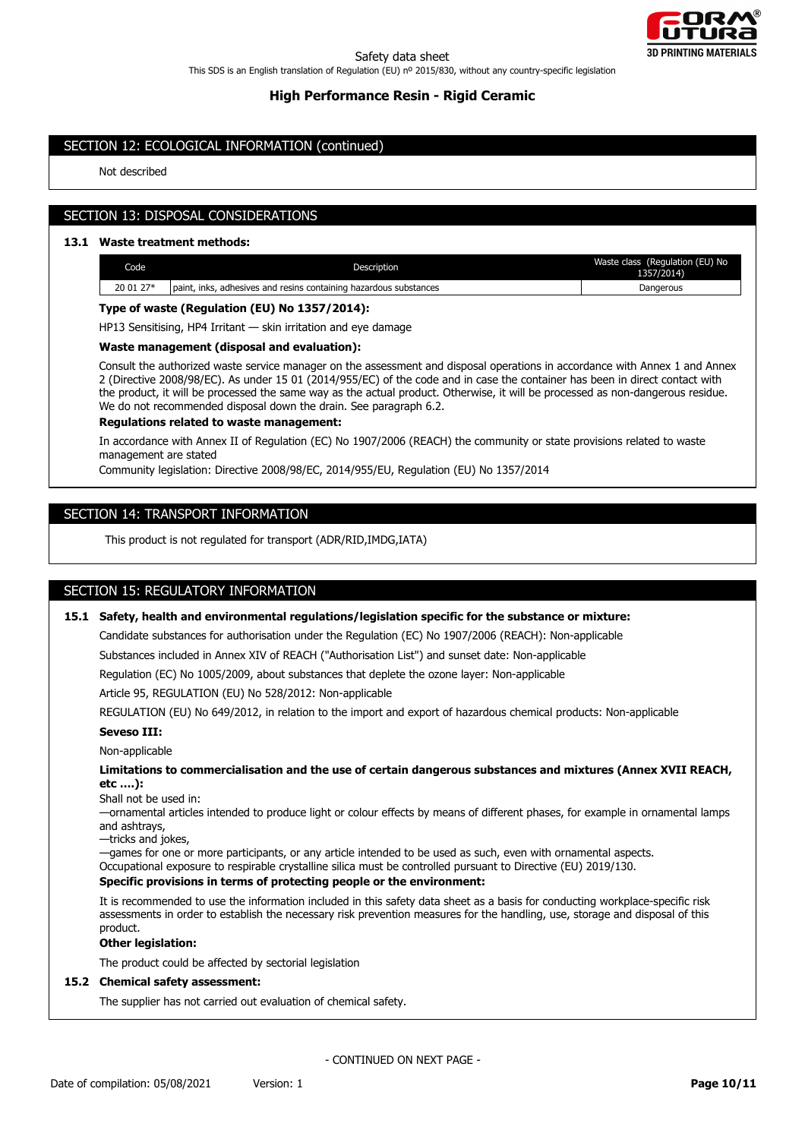

## SECTION 12: ECOLOGICAL INFORMATION (continued)

Not described

# SECTION 13: DISPOSAL CONSIDERATIONS

## **13.1 Waste treatment methods:**

| Code      | Description                                                              | (Regulation (EU) No<br>Waste class<br>1357/2014) |
|-----------|--------------------------------------------------------------------------|--------------------------------------------------|
| 20 01 27* | , adhesives and resins containing hazardous substances<br>inks<br>paint. | Dangerous                                        |

### **Type of waste (Regulation (EU) No 1357/2014):**

HP13 Sensitising, HP4 Irritant — skin irritation and eye damage

## **Waste management (disposal and evaluation):**

Consult the authorized waste service manager on the assessment and disposal operations in accordance with Annex 1 and Annex 2 (Directive 2008/98/EC). As under 15 01 (2014/955/EC) of the code and in case the container has been in direct contact with the product, it will be processed the same way as the actual product. Otherwise, it will be processed as non-dangerous residue. We do not recommended disposal down the drain. See paragraph 6.2.

### **Regulations related to waste management:**

In accordance with Annex II of Regulation (EC) No 1907/2006 (REACH) the community or state provisions related to waste management are stated

Community legislation: Directive 2008/98/EC, 2014/955/EU, Regulation (EU) No 1357/2014

## SECTION 14: TRANSPORT INFORMATION

This product is not regulated for transport (ADR/RID,IMDG,IATA)

## SECTION 15: REGULATORY INFORMATION

### **15.1 Safety, health and environmental regulations/legislation specific for the substance or mixture:**

Candidate substances for authorisation under the Regulation (EC) No 1907/2006 (REACH): Non-applicable

Substances included in Annex XIV of REACH ("Authorisation List") and sunset date: Non-applicable

Regulation (EC) No 1005/2009, about substances that deplete the ozone layer: Non-applicable

Article 95, REGULATION (EU) No 528/2012: Non-applicable

REGULATION (EU) No 649/2012, in relation to the import and export of hazardous chemical products: Non-applicable

### **Seveso III:**

#### Non-applicable

**Limitations to commercialisation and the use of certain dangerous substances and mixtures (Annex XVII REACH, etc ….):**

Shall not be used in:

—ornamental articles intended to produce light or colour effects by means of different phases, for example in ornamental lamps and ashtrays,

—tricks and jokes,

—games for one or more participants, or any article intended to be used as such, even with ornamental aspects. Occupational exposure to respirable crystalline silica must be controlled pursuant to Directive (EU) 2019/130.

## **Specific provisions in terms of protecting people or the environment:**

It is recommended to use the information included in this safety data sheet as a basis for conducting workplace-specific risk assessments in order to establish the necessary risk prevention measures for the handling, use, storage and disposal of this product.

### **Other legislation:**

The product could be affected by sectorial legislation

#### **15.2 Chemical safety assessment:**

The supplier has not carried out evaluation of chemical safety.